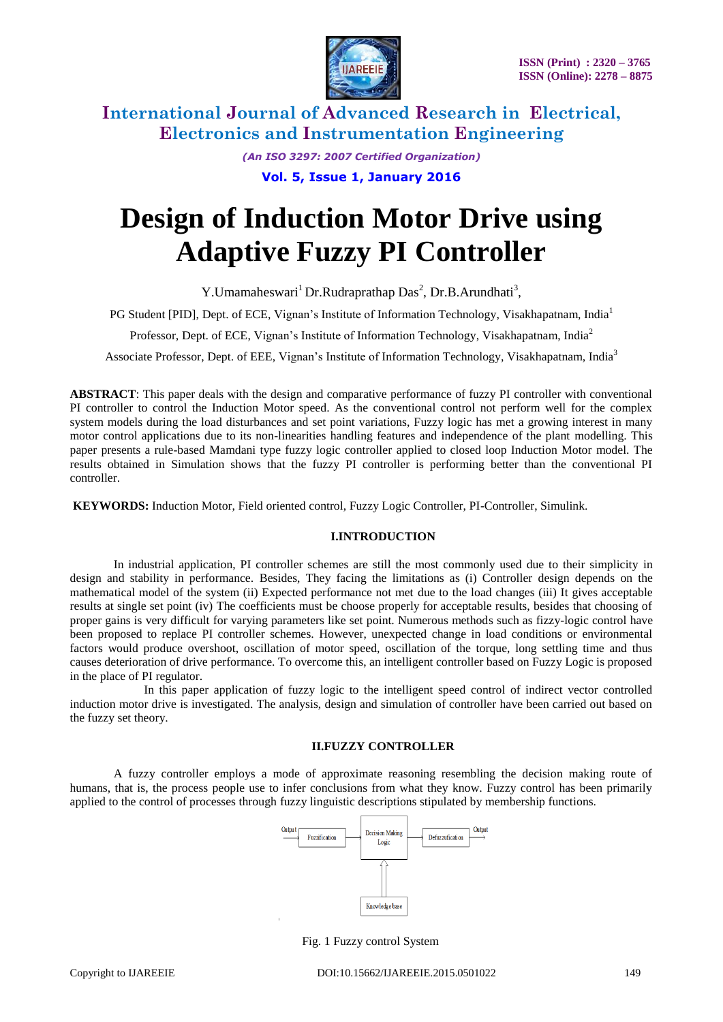

> *(An ISO 3297: 2007 Certified Organization)* **Vol. 5, Issue 1, January 2016**

# **Design of Induction Motor Drive using Adaptive Fuzzy PI Controller**

Y. Umamaheswari<sup>1</sup> Dr. Rudraprathap Das<sup>2</sup>, Dr. B. Arundhati<sup>3</sup>,

PG Student [PID], Dept. of ECE, Vignan's Institute of Information Technology, Visakhapatnam, India<sup>1</sup>

Professor, Dept. of ECE, Vignan's Institute of Information Technology, Visakhapatnam, India<sup>2</sup>

Associate Professor, Dept. of EEE, Vignan's Institute of Information Technology, Visakhapatnam, India<sup>3</sup>

**ABSTRACT**: This paper deals with the design and comparative performance of fuzzy PI controller with conventional PI controller to control the Induction Motor speed. As the conventional control not perform well for the complex system models during the load disturbances and set point variations, Fuzzy logic has met a growing interest in many motor control applications due to its non-linearities handling features and independence of the plant modelling. This paper presents a rule-based Mamdani type fuzzy logic controller applied to closed loop Induction Motor model. The results obtained in Simulation shows that the fuzzy PI controller is performing better than the conventional PI controller.

**KEYWORDS:** Induction Motor, Field oriented control, Fuzzy Logic Controller, PI-Controller, Simulink.

#### **I.INTRODUCTION**

In industrial application, PI controller schemes are still the most commonly used due to their simplicity in design and stability in performance. Besides, They facing the limitations as (i) Controller design depends on the mathematical model of the system (ii) Expected performance not met due to the load changes (iii) It gives acceptable results at single set point (iv) The coefficients must be choose properly for acceptable results, besides that choosing of proper gains is very difficult for varying parameters like set point. Numerous methods such as fizzy-logic control have been proposed to replace PI controller schemes. However, unexpected change in load conditions or environmental factors would produce overshoot, oscillation of motor speed, oscillation of the torque, long settling time and thus causes deterioration of drive performance. To overcome this, an intelligent controller based on Fuzzy Logic is proposed in the place of PI regulator.

 In this paper application of fuzzy logic to the intelligent speed control of indirect vector controlled induction motor drive is investigated. The analysis, design and simulation of controller have been carried out based on the fuzzy set theory.

#### **II.FUZZY CONTROLLER**

A fuzzy controller employs a mode of approximate reasoning resembling the decision making route of humans, that is, the process people use to infer conclusions from what they know. Fuzzy control has been primarily applied to the control of processes through fuzzy linguistic descriptions stipulated by membership functions.



Fig. 1 Fuzzy control System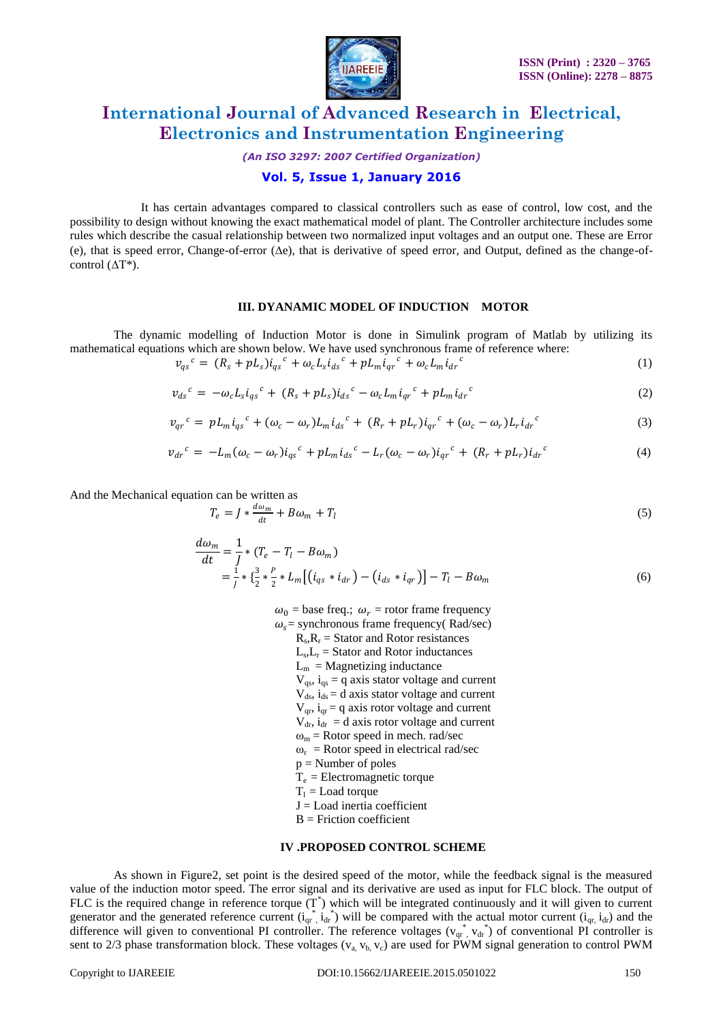

*(An ISO 3297: 2007 Certified Organization)*

### **Vol. 5, Issue 1, January 2016**

 It has certain advantages compared to classical controllers such as ease of control, low cost, and the possibility to design without knowing the exact mathematical model of plant. The Controller architecture includes some rules which describe the casual relationship between two normalized input voltages and an output one. These are Error (e), that is speed error, Change-of-error (∆e), that is derivative of speed error, and Output, defined as the change-ofcontrol  $(\Delta T^*)$ .

#### **III. DYANAMIC MODEL OF INDUCTION MOTOR**

The dynamic modelling of Induction Motor is done in Simulink program of Matlab by utilizing its mathematical equations which are shown below. We have used synchronous frame of reference where:

$$
v_{qs}^c = (R_s + p_{s})i_{qs}^c + \omega_c L_s i_{ds}^c + p_{m}i_{qr}^c + \omega_c L_m i_{dr}^c
$$
 (1)

$$
\nu_{ds}{}^{c} = -\omega_c L_s i_{qs}{}^{c} + (R_s + pL_s) i_{ds}{}^{c} - \omega_c L_m i_{qr}{}^{c} + pL_m i_{dr}{}^{c}
$$
 (2)

$$
v_{qr}^c = pL_m i_{qs}^c + (\omega_c - \omega_r)L_m i_{ds}^c + (R_r + pL_r)i_{qr}^c + (\omega_c - \omega_r)L_r i_{dr}^c
$$
 (3)

$$
v_{dr}{}^{c} = -L_{m}(\omega_{c} - \omega_{r})i_{qs}{}^{c} + pL_{m}i_{ds}{}^{c} - L_{r}(\omega_{c} - \omega_{r})i_{qr}{}^{c} + (R_{r} + pL_{r})i_{dr}{}^{c}
$$
(4)

And the Mechanical equation can be written as

$$
T_e = J * \frac{d\omega_m}{dt} + B\omega_m + T_l \tag{5}
$$

$$
\frac{d\omega_m}{dt} = \frac{1}{J} * (T_e - T_l - B\omega_m)
$$
  
=  $\frac{1}{J} * \{\frac{3}{2} * \frac{P}{2} * L_m [ (i_{qs} * i_{dr}) - (i_{ds} * i_{qr}) ] - T_l - B\omega_m$  (6)

 $\omega_0$  = base freq.;  $\omega_r$  = rotor frame frequency

 $\omega_s$  = synchronous frame frequency( Rad/sec)

- R<sup>s</sup>  $R_s$ , $R_r$  = Stator and Rotor resistances
- $L_{\rm s}$  $L_s$ ,  $L_r$  = Stator and Rotor inductances
	- $L_m$  = Magnetizing inductance
	- $V_{\text{qs}}$ ,  $i_{\text{qs}}$  = q axis stator voltage and current
	- $V_{ds}$ ,  $i_{ds}$  = d axis stator voltage and current
	- $V<sub>qr</sub>$ ,  $i<sub>qr</sub> = q$  axis rotor voltage and current
	- $V_{dr}$ ,  $i_{dr} = d$  axis rotor voltage and current
	- $\omega_m$  = Rotor speed in mech. rad/sec
	- $\omega_r$  = Rotor speed in electrical rad/sec
	- $p =$ Number of poles
	- $T_e$  = Electromagnetic torque
	- $T_1$  = Load torque
	- $J =$ Load inertia coefficient
	- $B =$  Friction coefficient

#### **IV .PROPOSED CONTROL SCHEME**

As shown in Figure2, set point is the desired speed of the motor, while the feedback signal is the measured value of the induction motor speed. The error signal and its derivative are used as input for FLC block. The output of FLC is the required change in reference torque  $(T^*)$  which will be integrated continuously and it will given to current generator and the generated reference current  $(i_{qr}^* , i_{dr}^*)$  will be compared with the actual motor current  $(i_{qr} , i_{dr})$  and the difference will given to conventional PI controller. The reference voltages  $(v_{qr}^*$ ,  $v_{dr}^*$ ) of conventional PI controller is sent to 2/3 phase transformation block. These voltages ( $v_a$ ,  $v_b$ ,  $v_c$ ) are used for PWM signal generation to control PWM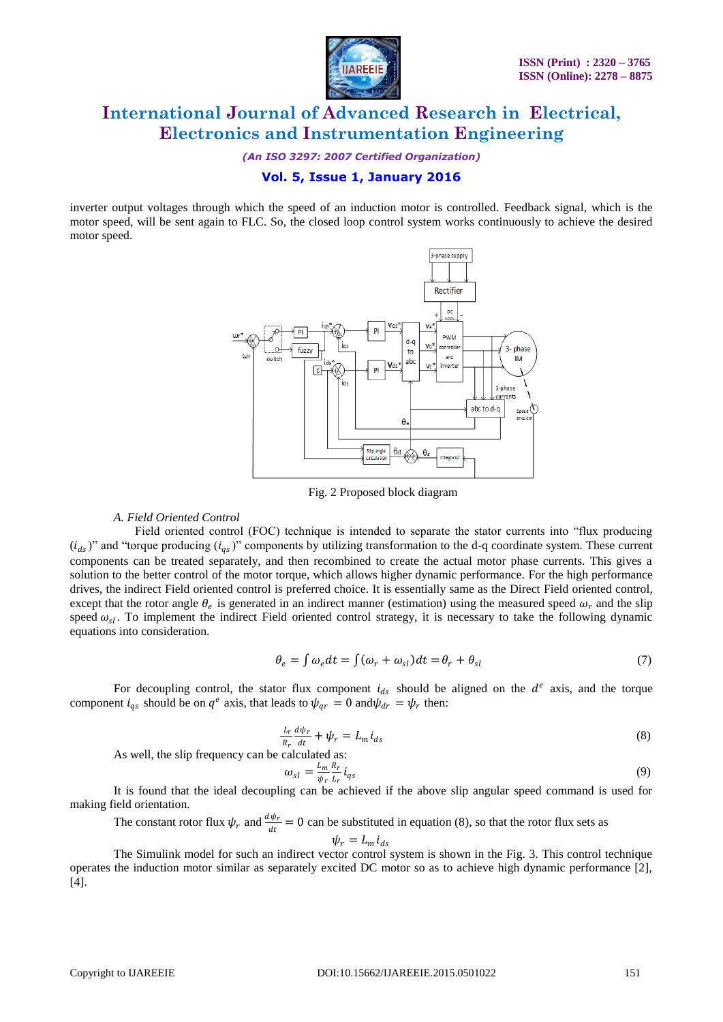

*(An ISO 3297: 2007 Certified Organization)*

### **Vol. 5, Issue 1, January 2016**

inverter output voltages through which the speed of an induction motor is controlled. Feedback signal, which is the motor speed, will be sent again to FLC. So, the closed loop control system works continuously to achieve the desired motor speed.



Fig. 2 Proposed block diagram

#### *A. Field Oriented Control*

 Field oriented control (FOC) technique is intended to separate the stator currents into "flux producing  $(i_{ds})$ " and "torque producing  $(i_{qs})$ " components by utilizing transformation to the d-q coordinate system. These current components can be treated separately, and then recombined to create the actual motor phase currents. This gives a solution to the better control of the motor torque, which allows higher dynamic performance. For the high performance drives, the indirect Field oriented control is preferred choice. It is essentially same as the Direct Field oriented control, except that the rotor angle  $\theta_e$  is generated in an indirect manner (estimation) using the measured speed  $\omega_r$  and the slip speed  $\omega_{sl}$ . To implement the indirect Field oriented control strategy, it is necessary to take the following dynamic equations into consideration.

$$
\theta_e = \int \omega_e dt = \int (\omega_r + \omega_{sl}) dt = \theta_r + \theta_{sl} \tag{7}
$$

For decoupling control, the stator flux component  $i_{ds}$  should be aligned on the  $d^e$  axis, and the torque component  $i_{qs}$  should be on  $q^e$  axis, that leads to  $\psi_{qr} = 0$  and  $\psi_{dr} = \psi_r$  then:

$$
\frac{L_r}{R_r}\frac{d\psi_r}{dt} + \psi_r = L_m i_{ds} \tag{8}
$$

As well, the slip frequency can be calculated as:

$$
\omega_{sl} = \frac{L_m}{\psi_r} \frac{R_r}{L_r} i_{qs} \tag{9}
$$

It is found that the ideal decoupling can be achieved if the above slip angular speed command is used for making field orientation.

The constant rotor flux  $\psi_r$  and  $\frac{d\psi_r}{dt} = 0$  can be substituted in equation (8), so that the rotor flux sets as  $\psi_r = L_m i_{ds}$ 

The Simulink model for such an indirect vector control system is shown in the Fig. 3. This control technique operates the induction motor similar as separately excited DC motor so as to achieve high dynamic performance [2], [4].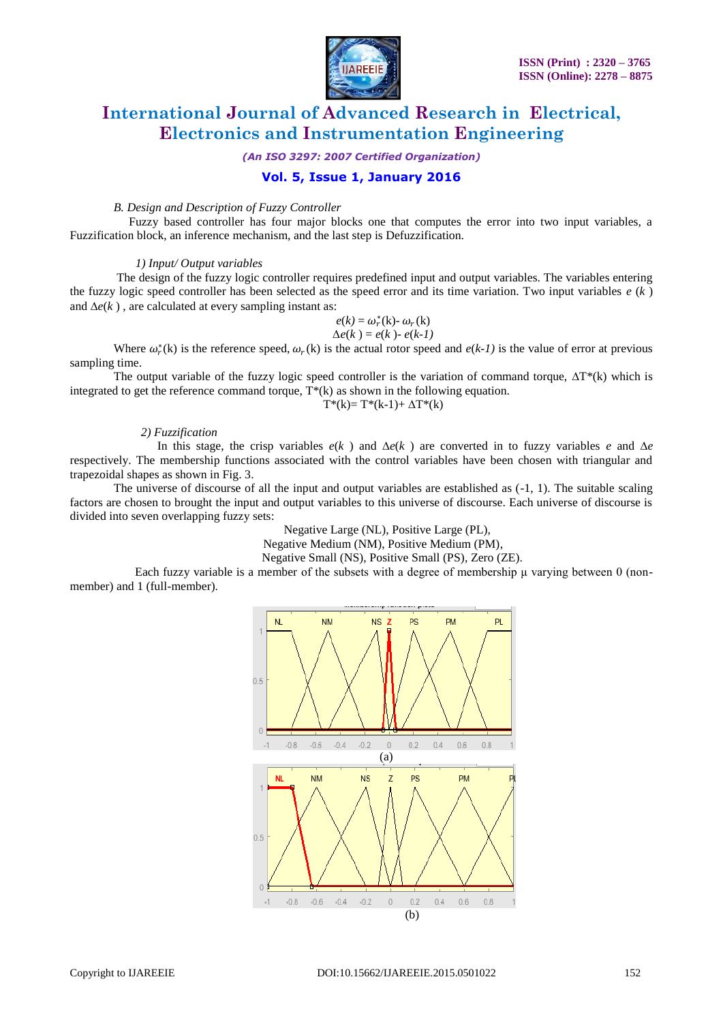

*(An ISO 3297: 2007 Certified Organization)*

### **Vol. 5, Issue 1, January 2016**

#### *B. Design and Description of Fuzzy Controller*

 Fuzzy based controller has four major blocks one that computes the error into two input variables, a Fuzzification block, an inference mechanism, and the last step is Defuzzification.

#### *1) Input/ Output variables*

The design of the fuzzy logic controller requires predefined input and output variables. The variables entering the fuzzy logic speed controller has been selected as the speed error and its time variation. Two input variables  $e(k)$ and ∆*e*(*k* ) , are calculated at every sampling instant as:

$$
e(k) = \omega_r^*(k) - \omega_r(k)
$$
  
 
$$
\Delta e(k) = e(k) - e(k-1)
$$

Where  $\omega_r^*(k)$  is the reference speed,  $\omega_r(k)$  is the actual rotor speed and  $e(k-1)$  is the value of error at previous sampling time.

The output variable of the fuzzy logic speed controller is the variation of command torque,  $\Delta T^*(k)$  which is integrated to get the reference command torque, T\*(k) as shown in the following equation.

$$
T^*(k) = T^*(k-1) + \Delta T^*(k)
$$

#### *2) Fuzzification*

In this stage, the crisp variables  $e(k)$  and  $\Delta e(k)$  are converted in to fuzzy variables *e* and  $\Delta e$ respectively. The membership functions associated with the control variables have been chosen with triangular and trapezoidal shapes as shown in Fig. 3.

The universe of discourse of all the input and output variables are established as (-1, 1). The suitable scaling factors are chosen to brought the input and output variables to this universe of discourse. Each universe of discourse is divided into seven overlapping fuzzy sets:

Negative Large (NL), Positive Large (PL),

Negative Medium (NM), Positive Medium (PM),

Negative Small (NS), Positive Small (PS), Zero (ZE).

 Each fuzzy variable is a member of the subsets with a degree of membership μ varying between 0 (nonmember) and 1 (full-member).

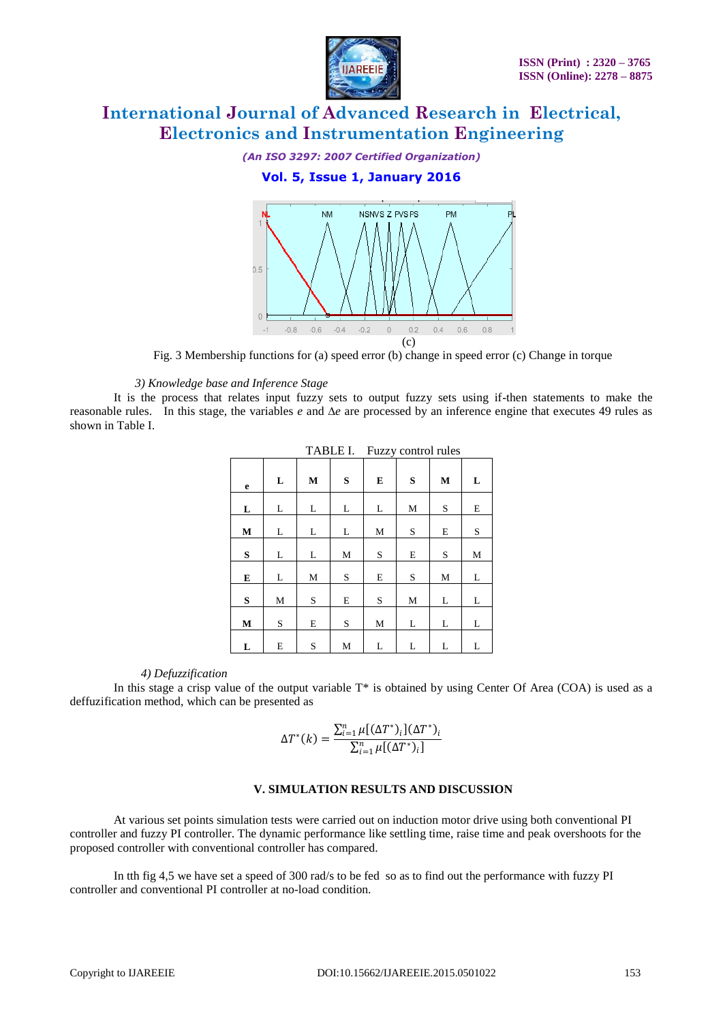

#### *(An ISO 3297: 2007 Certified Organization)*

### **Vol. 5, Issue 1, January 2016**



Fig. 3 Membership functions for (a) speed error (b) change in speed error (c) Change in torque

#### *3) Knowledge base and Inference Stage*

It is the process that relates input fuzzy sets to output fuzzy sets using if-then statements to make the reasonable rules. In this stage, the variables *e* and ∆*e* are processed by an inference engine that executes 49 rules as shown in Table I.

|             | TADLE I.<br><b>FULLY</b> COMMON FUILS |             |             |             |           |             |           |  |  |
|-------------|---------------------------------------|-------------|-------------|-------------|-----------|-------------|-----------|--|--|
| $\mathbf e$ | L                                     | $\bf M$     | S           | E           | ${\bf S}$ | $\bf M$     | L         |  |  |
| L           | L                                     | L           | L           | L           | ${\bf M}$ | S           | E         |  |  |
| $\mathbf M$ | L                                     | L           | L           | $\mathbf M$ | S         | ${\bf E}$   | $\rm S$   |  |  |
| ${\bf S}$   | L                                     | L           | $\mathbf M$ | S           | E         | S           | ${\bf M}$ |  |  |
| E           | L                                     | $\mathbf M$ | $\mathbf S$ | ${\bf E}$   | S         | $\mathbf M$ | L         |  |  |
| ${\bf S}$   | $\mathbf M$                           | S           | E           | S           | ${\bf M}$ | L           | L         |  |  |
| $\mathbf M$ | S                                     | E           | S           | $\mathbf M$ | L         | L           | L         |  |  |
| L           | E                                     | $\mathbf S$ | $\mathbf M$ | L           | L         | L           | L         |  |  |

 $TADITI$ . Fuzzy control rules

#### *4) Defuzzification*

In this stage a crisp value of the output variable  $T^*$  is obtained by using Center Of Area (COA) is used as a deffuzification method, which can be presented as

$$
\Delta T^*(k) = \frac{\sum_{i=1}^n \mu [(\Delta T^*)_i] (\Delta T^*)_i}{\sum_{i=1}^n \mu [(\Delta T^*)_i]}
$$

#### **V. SIMULATION RESULTS AND DISCUSSION**

At various set points simulation tests were carried out on induction motor drive using both conventional PI controller and fuzzy PI controller. The dynamic performance like settling time, raise time and peak overshoots for the proposed controller with conventional controller has compared.

In tth fig 4,5 we have set a speed of 300 rad/s to be fed so as to find out the performance with fuzzy PI controller and conventional PI controller at no-load condition.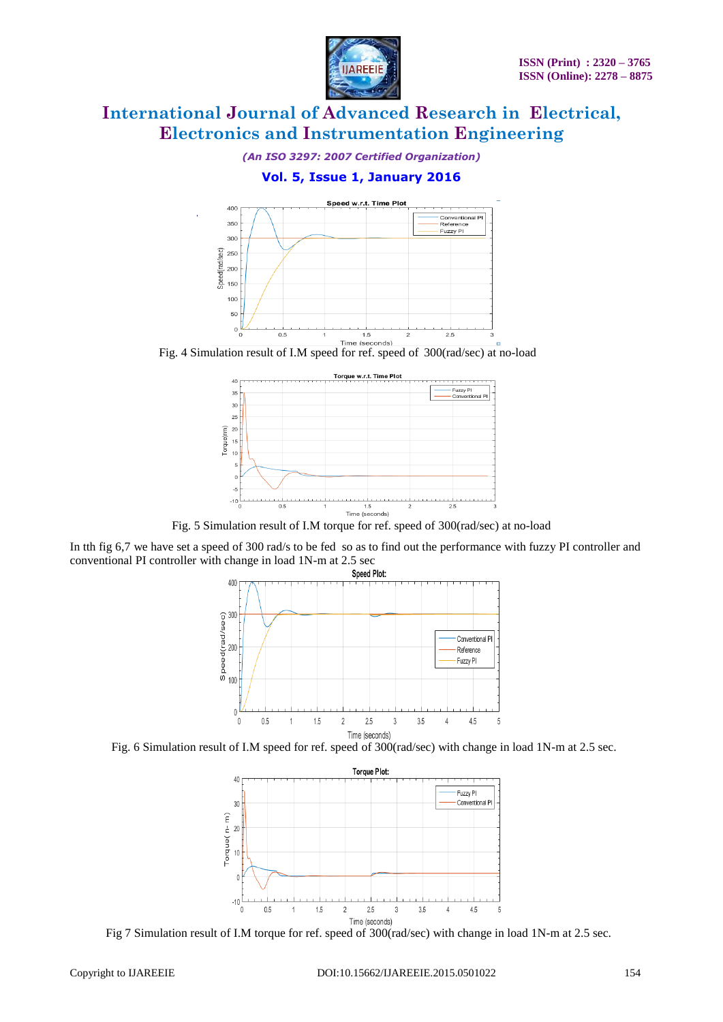

*(An ISO 3297: 2007 Certified Organization)*

## **Vol. 5, Issue 1, January 2016**



Fig. 4 Simulation result of I.M speed for ref. speed of 300(rad/sec) at no-load



Fig. 5 Simulation result of I.M torque for ref. speed of 300(rad/sec) at no-load

In tth fig 6,7 we have set a speed of 300 rad/s to be fed so as to find out the performance with fuzzy PI controller and conventional PI controller with change in load 1N-m at 2.5 sec







Fig 7 Simulation result of I.M torque for ref. speed of 300(rad/sec) with change in load 1N-m at 2.5 sec.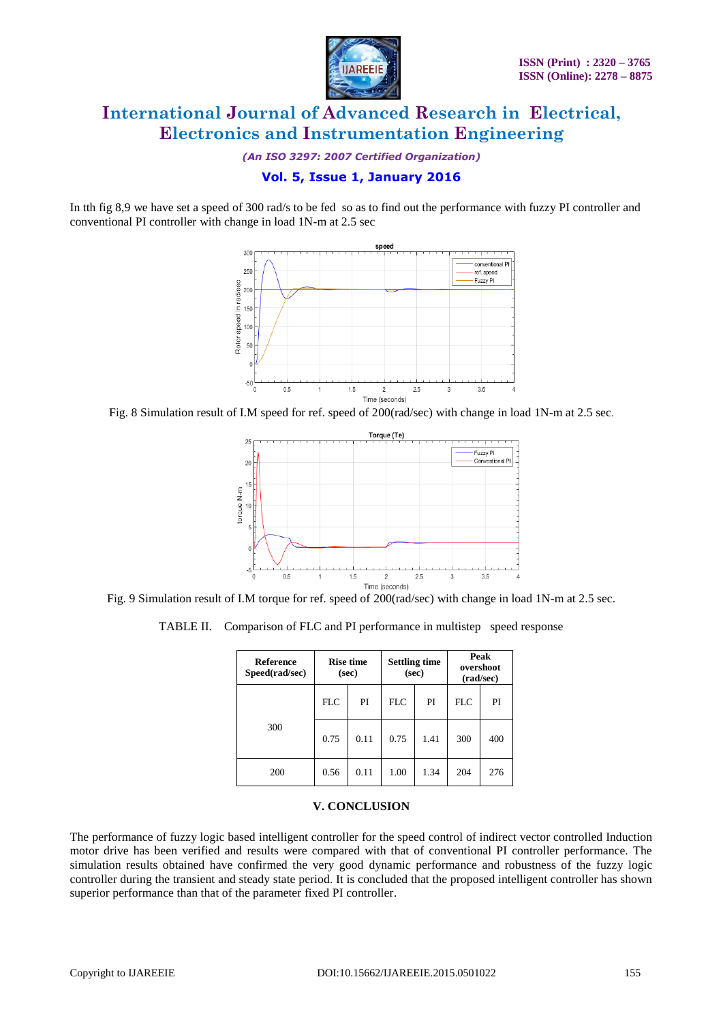

*(An ISO 3297: 2007 Certified Organization)*

### **Vol. 5, Issue 1, January 2016**

In tth fig 8,9 we have set a speed of 300 rad/s to be fed so as to find out the performance with fuzzy PI controller and conventional PI controller with change in load 1N-m at 2.5 sec



Fig. 8 Simulation result of I.M speed for ref. speed of 200(rad/sec) with change in load 1N-m at 2.5 sec.



Fig. 9 Simulation result of I.M torque for ref. speed of 200(rad/sec) with change in load 1N-m at 2.5 sec.

TABLE II. Comparison of FLC and PI performance in multistep speed response

| <b>Reference</b><br>Speed(rad/sec) | <b>Rise time</b><br>(sec) |      | <b>Settling time</b><br>(sec) |      | Peak<br>overshoot<br>(rad/sec) |     |
|------------------------------------|---------------------------|------|-------------------------------|------|--------------------------------|-----|
|                                    | <b>FLC</b>                | PI   | <b>FLC</b>                    | PI   | <b>FLC</b>                     | PI  |
| 300                                | 0.75                      | 0.11 | 0.75                          | 1.41 | 300                            | 400 |
| 200                                | 0.56                      | 0.11 | 1.00                          | 1.34 | 204                            | 276 |

### **V. CONCLUSION**

The performance of fuzzy logic based intelligent controller for the speed control of indirect vector controlled Induction motor drive has been verified and results were compared with that of conventional PI controller performance. The simulation results obtained have confirmed the very good dynamic performance and robustness of the fuzzy logic controller during the transient and steady state period. It is concluded that the proposed intelligent controller has shown superior performance than that of the parameter fixed PI controller.